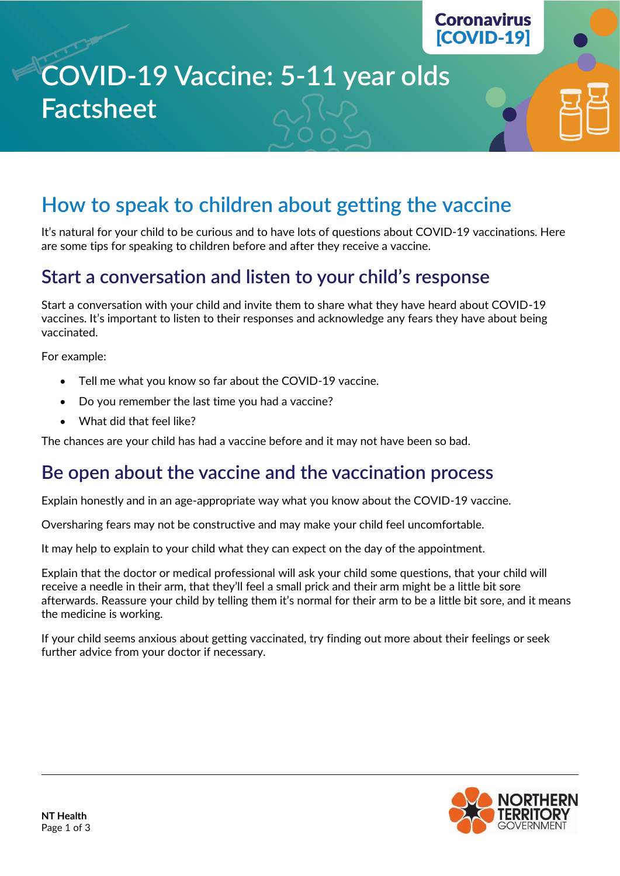# **COVID-19 Vaccine: 5-11 year olds Factsheet**

## **How to speak to children about getting the vaccine**

It's natural for your child to be curious and to have lots of questions about COVID-19 vaccinations. Here are some tips for speaking to children before and after they receive a vaccine.

#### **Start a conversation and listen to your child's response**

Start a conversation with your child and invite them to share what they have heard about COVID-19 vaccines. It's important to listen to their responses and acknowledge any fears they have about being vaccinated.

For example:

- Tell me what you know so far about the COVID-19 vaccine.
- Do you remember the last time you had a vaccine?
- What did that feel like?

The chances are your child has had a vaccine before and it may not have been so bad.

#### **Be open about the vaccine and the vaccination process**

Explain honestly and in an age-appropriate way what you know about the COVID-19 vaccine.

Oversharing fears may not be constructive and may make your child feel uncomfortable.

It may help to explain to your child what they can expect on the day of the appointment.

Explain that the doctor or medical professional will ask your child some questions, that your child will receive a needle in their arm, that they'll feel a small prick and their arm might be a little bit sore afterwards. Reassure your child by telling them it's normal for their arm to be a little bit sore, and it means the medicine is working.

If your child seems anxious about getting vaccinated, try finding out more about their feelings or seek further advice from your doctor if necessary.



**Coronavirus**  $[COVID-19]$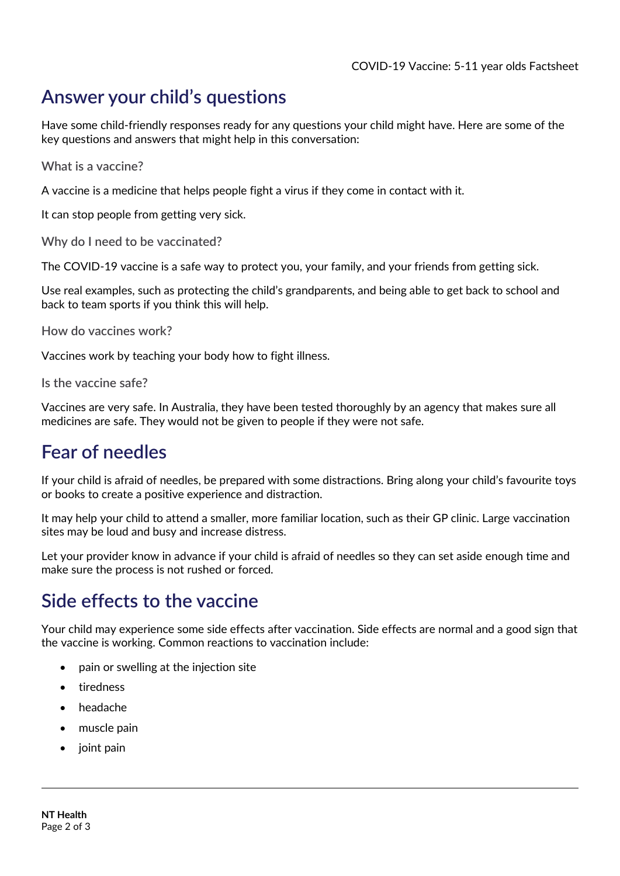## **Answer your child's questions**

Have some child-friendly responses ready for any questions your child might have. Here are some of the key questions and answers that might help in this conversation:

**What is a vaccine?**

A vaccine is a medicine that helps people fight a virus if they come in contact with it.

It can stop people from getting very sick.

**Why do I need to be vaccinated?**

The COVID-19 vaccine is a safe way to protect you, your family, and your friends from getting sick.

Use real examples, such as protecting the child's grandparents, and being able to get back to school and back to team sports if you think this will help.

**How do vaccines work?**

Vaccines work by teaching your body how to fight illness.

**Is the vaccine safe?**

Vaccines are very safe. In Australia, they have been tested thoroughly by an agency that makes sure all medicines are safe. They would not be given to people if they were not safe.

### **Fear of needles**

If your child is afraid of needles, be prepared with some distractions. Bring along your child's favourite toys or books to create a positive experience and distraction.

It may help your child to attend a smaller, more familiar location, such as their GP clinic. Large vaccination sites may be loud and busy and increase distress.

Let your provider know in advance if your child is afraid of needles so they can set aside enough time and make sure the process is not rushed or forced.

#### **Side effects to the vaccine**

Your child may experience some side effects after vaccination. Side effects are normal and a good sign that the vaccine is working. Common reactions to vaccination include:

- pain or swelling at the injection site
- tiredness
- headache
- muscle pain
- joint pain